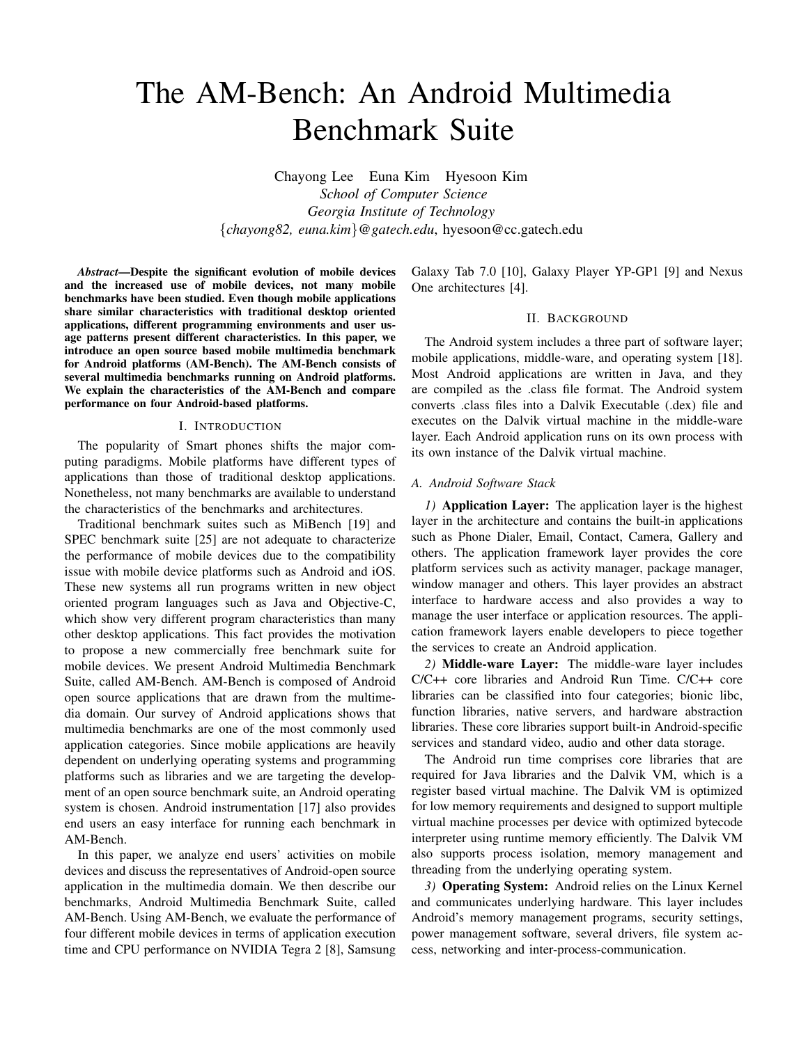# The AM-Bench: An Android Multimedia Benchmark Suite

Chayong Lee Euna Kim Hyesoon Kim *School of Computer Science Georgia Institute of Technology* {*chayong82, euna.kim*}*@gatech.edu*, hyesoon@cc.gatech.edu

*Abstract*—Despite the significant evolution of mobile devices and the increased use of mobile devices, not many mobile benchmarks have been studied. Even though mobile applications share similar characteristics with traditional desktop oriented applications, different programming environments and user usage patterns present different characteristics. In this paper, we introduce an open source based mobile multimedia benchmark for Android platforms (AM-Bench). The AM-Bench consists of several multimedia benchmarks running on Android platforms. We explain the characteristics of the AM-Bench and compare performance on four Android-based platforms.

## I. INTRODUCTION

The popularity of Smart phones shifts the major computing paradigms. Mobile platforms have different types of applications than those of traditional desktop applications. Nonetheless, not many benchmarks are available to understand the characteristics of the benchmarks and architectures.

Traditional benchmark suites such as MiBench [19] and SPEC benchmark suite [25] are not adequate to characterize the performance of mobile devices due to the compatibility issue with mobile device platforms such as Android and iOS. These new systems all run programs written in new object oriented program languages such as Java and Objective-C, which show very different program characteristics than many other desktop applications. This fact provides the motivation to propose a new commercially free benchmark suite for mobile devices. We present Android Multimedia Benchmark Suite, called AM-Bench. AM-Bench is composed of Android open source applications that are drawn from the multimedia domain. Our survey of Android applications shows that multimedia benchmarks are one of the most commonly used application categories. Since mobile applications are heavily dependent on underlying operating systems and programming platforms such as libraries and we are targeting the development of an open source benchmark suite, an Android operating system is chosen. Android instrumentation [17] also provides end users an easy interface for running each benchmark in AM-Bench.

In this paper, we analyze end users' activities on mobile devices and discuss the representatives of Android-open source application in the multimedia domain. We then describe our benchmarks, Android Multimedia Benchmark Suite, called AM-Bench. Using AM-Bench, we evaluate the performance of four different mobile devices in terms of application execution time and CPU performance on NVIDIA Tegra 2 [8], Samsung

Galaxy Tab 7.0 [10], Galaxy Player YP-GP1 [9] and Nexus One architectures [4].

# II. BACKGROUND

The Android system includes a three part of software layer; mobile applications, middle-ware, and operating system [18]. Most Android applications are written in Java, and they are compiled as the .class file format. The Android system converts .class files into a Dalvik Executable (.dex) file and executes on the Dalvik virtual machine in the middle-ware layer. Each Android application runs on its own process with its own instance of the Dalvik virtual machine.

#### *A. Android Software Stack*

*1)* Application Layer: The application layer is the highest layer in the architecture and contains the built-in applications such as Phone Dialer, Email, Contact, Camera, Gallery and others. The application framework layer provides the core platform services such as activity manager, package manager, window manager and others. This layer provides an abstract interface to hardware access and also provides a way to manage the user interface or application resources. The application framework layers enable developers to piece together the services to create an Android application.

*2)* Middle-ware Layer: The middle-ware layer includes C/C++ core libraries and Android Run Time. C/C++ core libraries can be classified into four categories; bionic libc, function libraries, native servers, and hardware abstraction libraries. These core libraries support built-in Android-specific services and standard video, audio and other data storage.

The Android run time comprises core libraries that are required for Java libraries and the Dalvik VM, which is a register based virtual machine. The Dalvik VM is optimized for low memory requirements and designed to support multiple virtual machine processes per device with optimized bytecode interpreter using runtime memory efficiently. The Dalvik VM also supports process isolation, memory management and threading from the underlying operating system.

*3)* Operating System: Android relies on the Linux Kernel and communicates underlying hardware. This layer includes Android's memory management programs, security settings, power management software, several drivers, file system access, networking and inter-process-communication.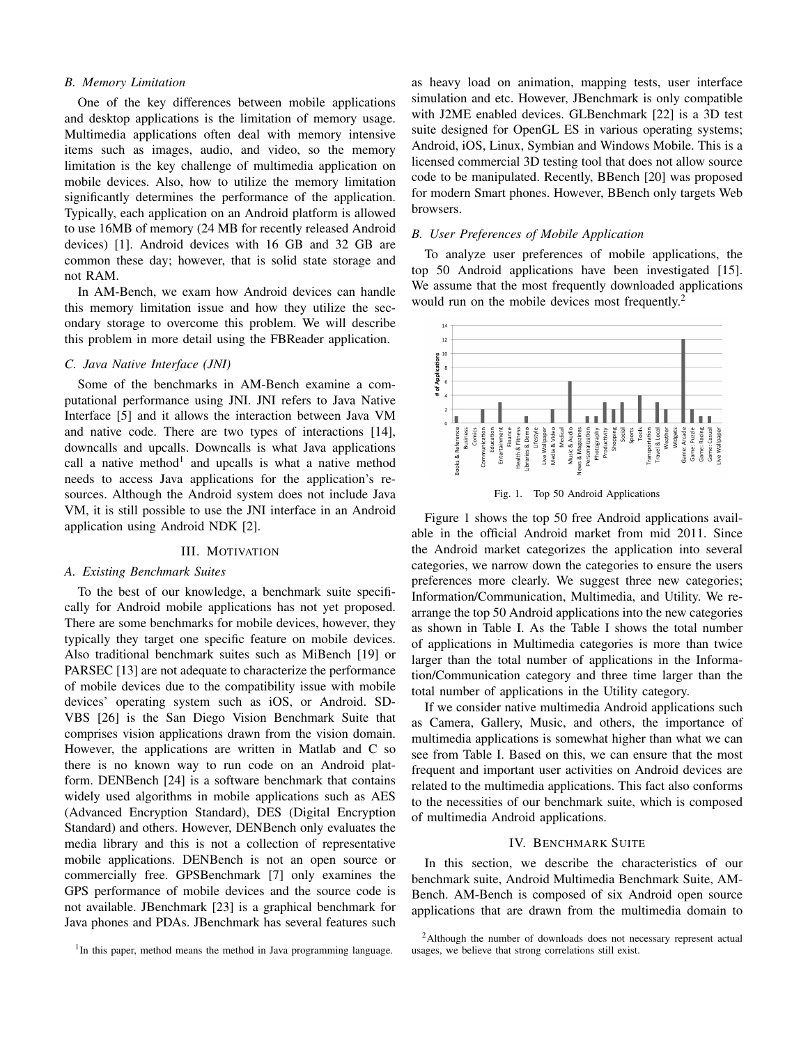## *B. Memory Limitation*

One of the key differences between mobile applications and desktop applications is the limitation of memory usage. Multimedia applications often deal with memory intensive items such as images, audio, and video, so the memory limitation is the key challenge of multimedia application on mobile devices. Also, how to utilize the memory limitation significantly determines the performance of the application. Typically, each application on an Android platform is allowed to use 16MB of memory (24 MB for recently released Android devices) [1]. Android devices with 16 GB and 32 GB are common these day; however, that is solid state storage and not RAM.

In AM-Bench, we exam how Android devices can handle this memory limitation issue and how they utilize the secondary storage to overcome this problem. We will describe this problem in more detail using the FBReader application.

## *C. Java Native Interface (JNI)*

Some of the benchmarks in AM-Bench examine a computational performance using JNI. JNI refers to Java Native Interface [5] and it allows the interaction between Java VM and native code. There are two types of interactions [14], downcalls and upcalls. Downcalls is what Java applications call a native method<sup>1</sup> and upcalls is what a native method needs to access Java applications for the application's resources. Although the Android system does not include Java VM, it is still possible to use the JNI interface in an Android application using Android NDK [2].

#### III. MOTIVATION

## *A. Existing Benchmark Suites*

To the best of our knowledge, a benchmark suite specifically for Android mobile applications has not yet proposed. There are some benchmarks for mobile devices, however, they typically they target one specific feature on mobile devices. Also traditional benchmark suites such as MiBench [19] or PARSEC [13] are not adequate to characterize the performance of mobile devices due to the compatibility issue with mobile devices' operating system such as iOS, or Android. SD-VBS [26] is the San Diego Vision Benchmark Suite that comprises vision applications drawn from the vision domain. However, the applications are written in Matlab and C so there is no known way to run code on an Android platform. DENBench [24] is a software benchmark that contains widely used algorithms in mobile applications such as AES (Advanced Encryption Standard), DES (Digital Encryption Standard) and others. However, DENBench only evaluates the media library and this is not a collection of representative mobile applications. DENBench is not an open source or commercially free. GPSBenchmark [7] only examines the GPS performance of mobile devices and the source code is not available. JBenchmark [23] is a graphical benchmark for Java phones and PDAs. JBenchmark has several features such

<sup>1</sup>In this paper, method means the method in Java programming language.

as heavy load on animation, mapping tests, user interface simulation and etc. However, JBenchmark is only compatible with J2ME enabled devices. GLBenchmark [22] is a 3D test suite designed for OpenGL ES in various operating systems; Android, iOS, Linux, Symbian and Windows Mobile. This is a licensed commercial 3D testing tool that does not allow source code to be manipulated. Recently, BBench [20] was proposed for modern Smart phones. However, BBench only targets Web browsers.

# *B. User Preferences of Mobile Application*

To analyze user preferences of mobile applications, the top 50 Android applications have been investigated [15]. We assume that the most frequently downloaded applications would run on the mobile devices most frequently.<sup>2</sup>





Figure 1 shows the top 50 free Android applications available in the official Android market from mid 2011. Since the Android market categorizes the application into several categories, we narrow down the categories to ensure the users preferences more clearly. We suggest three new categories; Information/Communication, Multimedia, and Utility. We rearrange the top 50 Android applications into the new categories as shown in Table I. As the Table I shows the total number of applications in Multimedia categories is more than twice larger than the total number of applications in the Information/Communication category and three time larger than the total number of applications in the Utility category.

If we consider native multimedia Android applications such as Camera, Gallery, Music, and others, the importance of multimedia applications is somewhat higher than what we can see from Table I. Based on this, we can ensure that the most frequent and important user activities on Android devices are related to the multimedia applications. This fact also conforms to the necessities of our benchmark suite, which is composed of multimedia Android applications.

#### IV. BENCHMARK SUITE

In this section, we describe the characteristics of our benchmark suite, Android Multimedia Benchmark Suite, AM-Bench. AM-Bench is composed of six Android open source applications that are drawn from the multimedia domain to

<sup>&</sup>lt;sup>2</sup>Although the number of downloads does not necessary represent actual usages, we believe that strong correlations still exist.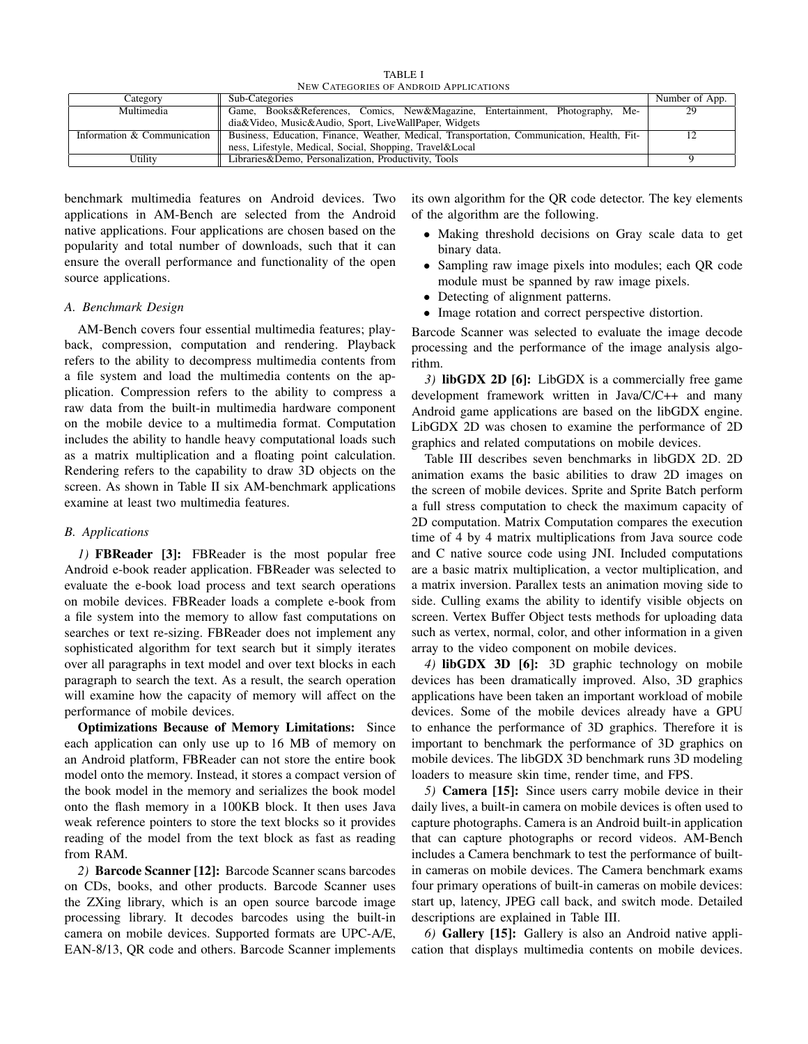TABLE I NEW CATEGORIES OF ANDROID APPLICATIONS

| Category                    | Sub-Categories                                                                              | Number of App. |
|-----------------------------|---------------------------------------------------------------------------------------------|----------------|
| Multimedia                  | Game, Books&References, Comics, New&Magazine, Entertainment, Photography, Me-               | 29             |
|                             | dia&Video, Music&Audio, Sport, LiveWallPaper, Widgets                                       |                |
| Information & Communication | Business, Education, Finance, Weather, Medical, Transportation, Communication, Health, Fit- |                |
|                             | ness, Lifestyle, Medical, Social, Shopping, Travel&Local                                    |                |
| Utility                     | Libraries&Demo, Personalization, Productivity, Tools                                        |                |

benchmark multimedia features on Android devices. Two applications in AM-Bench are selected from the Android native applications. Four applications are chosen based on the popularity and total number of downloads, such that it can ensure the overall performance and functionality of the open source applications.

# *A. Benchmark Design*

AM-Bench covers four essential multimedia features; playback, compression, computation and rendering. Playback refers to the ability to decompress multimedia contents from a file system and load the multimedia contents on the application. Compression refers to the ability to compress a raw data from the built-in multimedia hardware component on the mobile device to a multimedia format. Computation includes the ability to handle heavy computational loads such as a matrix multiplication and a floating point calculation. Rendering refers to the capability to draw 3D objects on the screen. As shown in Table II six AM-benchmark applications examine at least two multimedia features.

#### *B. Applications*

*1)* FBReader [3]: FBReader is the most popular free Android e-book reader application. FBReader was selected to evaluate the e-book load process and text search operations on mobile devices. FBReader loads a complete e-book from a file system into the memory to allow fast computations on searches or text re-sizing. FBReader does not implement any sophisticated algorithm for text search but it simply iterates over all paragraphs in text model and over text blocks in each paragraph to search the text. As a result, the search operation will examine how the capacity of memory will affect on the performance of mobile devices.

Optimizations Because of Memory Limitations: Since each application can only use up to 16 MB of memory on an Android platform, FBReader can not store the entire book model onto the memory. Instead, it stores a compact version of the book model in the memory and serializes the book model onto the flash memory in a 100KB block. It then uses Java weak reference pointers to store the text blocks so it provides reading of the model from the text block as fast as reading from RAM.

*2)* Barcode Scanner [12]: Barcode Scanner scans barcodes on CDs, books, and other products. Barcode Scanner uses the ZXing library, which is an open source barcode image processing library. It decodes barcodes using the built-in camera on mobile devices. Supported formats are UPC-A/E, EAN-8/13, QR code and others. Barcode Scanner implements its own algorithm for the QR code detector. The key elements of the algorithm are the following.

- Making threshold decisions on Gray scale data to get binary data.
- Sampling raw image pixels into modules; each QR code module must be spanned by raw image pixels.
- Detecting of alignment patterns.
- Image rotation and correct perspective distortion.

Barcode Scanner was selected to evaluate the image decode processing and the performance of the image analysis algorithm.

*3)* libGDX 2D [6]: LibGDX is a commercially free game development framework written in Java/C/C++ and many Android game applications are based on the libGDX engine. LibGDX 2D was chosen to examine the performance of 2D graphics and related computations on mobile devices.

Table III describes seven benchmarks in libGDX 2D. 2D animation exams the basic abilities to draw 2D images on the screen of mobile devices. Sprite and Sprite Batch perform a full stress computation to check the maximum capacity of 2D computation. Matrix Computation compares the execution time of 4 by 4 matrix multiplications from Java source code and C native source code using JNI. Included computations are a basic matrix multiplication, a vector multiplication, and a matrix inversion. Parallex tests an animation moving side to side. Culling exams the ability to identify visible objects on screen. Vertex Buffer Object tests methods for uploading data such as vertex, normal, color, and other information in a given array to the video component on mobile devices.

*4)* libGDX 3D [6]: 3D graphic technology on mobile devices has been dramatically improved. Also, 3D graphics applications have been taken an important workload of mobile devices. Some of the mobile devices already have a GPU to enhance the performance of 3D graphics. Therefore it is important to benchmark the performance of 3D graphics on mobile devices. The libGDX 3D benchmark runs 3D modeling loaders to measure skin time, render time, and FPS.

*5)* Camera [15]: Since users carry mobile device in their daily lives, a built-in camera on mobile devices is often used to capture photographs. Camera is an Android built-in application that can capture photographs or record videos. AM-Bench includes a Camera benchmark to test the performance of builtin cameras on mobile devices. The Camera benchmark exams four primary operations of built-in cameras on mobile devices: start up, latency, JPEG call back, and switch mode. Detailed descriptions are explained in Table III.

*6)* Gallery [15]: Gallery is also an Android native application that displays multimedia contents on mobile devices.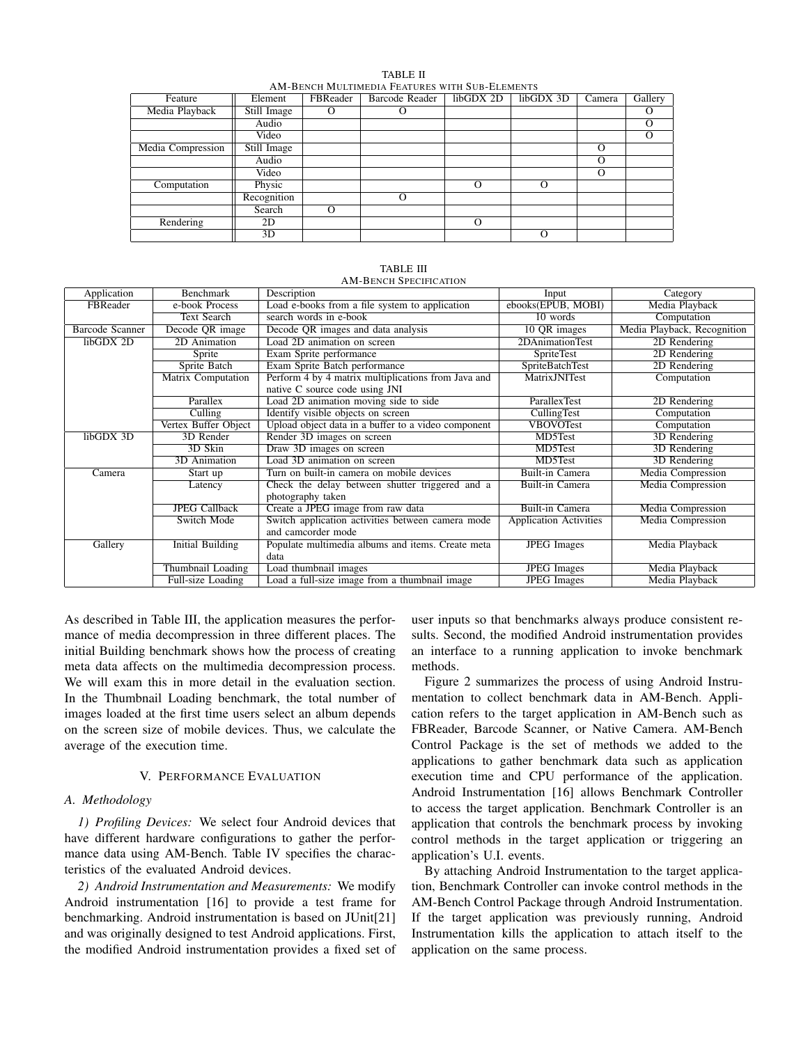TABLE II AM-BENCH MULTIMEDIA FEATURES WITH SUB-ELEMENTS

| Feature           | Element     | FBReader | <b>Barcode Reader</b> | libGDX 2D | libGDX 3D | Camera | Gallery |
|-------------------|-------------|----------|-----------------------|-----------|-----------|--------|---------|
| Media Playback    | Still Image |          |                       |           |           |        |         |
|                   | Audio       |          |                       |           |           |        |         |
|                   | Video       |          |                       |           |           |        |         |
| Media Compression | Still Image |          |                       |           |           | Ω      |         |
|                   | Audio       |          |                       |           |           | O      |         |
|                   | Video       |          |                       |           |           | O      |         |
| Computation       | Physic      |          |                       | $\Omega$  | $\Omega$  |        |         |
|                   | Recognition |          | $\Omega$              |           |           |        |         |
|                   | Search      | $\Omega$ |                       |           |           |        |         |
| Rendering         | 2D          |          |                       | $\Omega$  |           |        |         |
|                   | 3D          |          |                       |           | $\Omega$  |        |         |

| Application     | Benchmark                 | Description                                         | Input                         | Category                    |
|-----------------|---------------------------|-----------------------------------------------------|-------------------------------|-----------------------------|
| FBReader        | e-book Process            | Load e-books from a file system to application      | ebooks(EPUB, MOBI)            | Media Playback              |
|                 | <b>Text Search</b>        | search words in e-book                              | 10 words                      | Computation                 |
| Barcode Scanner | Decode QR image           | Decode QR images and data analysis                  | 10 QR images                  | Media Playback, Recognition |
| libGDX 2D       | $\overline{2D}$ Animation | Load 2D animation on screen                         | 2DAnimationTest               | 2D Rendering                |
|                 | Sprite                    | Exam Sprite performance                             | <b>SpriteTest</b>             | 2D Rendering                |
|                 | Sprite Batch              | Exam Sprite Batch performance                       | <b>SpriteBatchTest</b>        | 2D Rendering                |
|                 | Matrix Computation        | Perform 4 by 4 matrix multiplications from Java and | MatrixJNITest                 | Computation                 |
|                 |                           | native C source code using JNI                      |                               |                             |
|                 | Parallex                  | Load 2D animation moving side to side               | ParallexTest                  | 2D Rendering                |
|                 | Culling                   | Identify visible objects on screen                  | <b>CullingTest</b>            | Computation                 |
|                 | Vertex Buffer Object      | Upload object data in a buffer to a video component | <b>VBOVOTest</b>              | Computation                 |
| libGDX 3D       | 3D Render                 | Render 3D images on screen                          | MD5Test                       | 3D Rendering                |
|                 | 3D Skin                   | Draw 3D images on screen                            | MD5Test                       | 3D Rendering                |
|                 | 3D Animation              | Load 3D animation on screen                         | MD5Test                       | 3D Rendering                |
| Camera          | Start up                  | Turn on built-in camera on mobile devices           | Built-in Camera               | Media Compression           |
|                 | Latency                   | Check the delay between shutter triggered and a     | Built-in Camera               | Media Compression           |
|                 |                           | photography taken                                   |                               |                             |
|                 | <b>JPEG Callback</b>      | Create a JPEG image from raw data                   | Built-in Camera               | Media Compression           |
|                 | Switch Mode               | Switch application activities between camera mode   | <b>Application Activities</b> | Media Compression           |
|                 |                           | and camcorder mode                                  |                               |                             |
| Gallery         | <b>Initial Building</b>   | Populate multimedia albums and items. Create meta   | <b>JPEG</b> Images            | Media Playback              |
|                 |                           | data                                                |                               |                             |
|                 | Thumbnail Loading         | Load thumbnail images                               | <b>JPEG</b> Images            | Media Playback              |
|                 | Full-size Loading         | Load a full-size image from a thumbnail image       | <b>JPEG</b> Images            | Media Playback              |

TABLE III AM-BENCH SPECIFICATION

As described in Table III, the application measures the performance of media decompression in three different places. The initial Building benchmark shows how the process of creating meta data affects on the multimedia decompression process. We will exam this in more detail in the evaluation section. In the Thumbnail Loading benchmark, the total number of images loaded at the first time users select an album depends on the screen size of mobile devices. Thus, we calculate the average of the execution time.

# V. PERFORMANCE EVALUATION

# *A. Methodology*

*1) Profiling Devices:* We select four Android devices that have different hardware configurations to gather the performance data using AM-Bench. Table IV specifies the characteristics of the evaluated Android devices.

*2) Android Instrumentation and Measurements:* We modify Android instrumentation [16] to provide a test frame for benchmarking. Android instrumentation is based on JUnit[21] and was originally designed to test Android applications. First, the modified Android instrumentation provides a fixed set of

user inputs so that benchmarks always produce consistent results. Second, the modified Android instrumentation provides an interface to a running application to invoke benchmark methods.

Figure 2 summarizes the process of using Android Instrumentation to collect benchmark data in AM-Bench. Application refers to the target application in AM-Bench such as FBReader, Barcode Scanner, or Native Camera. AM-Bench Control Package is the set of methods we added to the applications to gather benchmark data such as application execution time and CPU performance of the application. Android Instrumentation [16] allows Benchmark Controller to access the target application. Benchmark Controller is an application that controls the benchmark process by invoking control methods in the target application or triggering an application's U.I. events.

By attaching Android Instrumentation to the target application, Benchmark Controller can invoke control methods in the AM-Bench Control Package through Android Instrumentation. If the target application was previously running, Android Instrumentation kills the application to attach itself to the application on the same process.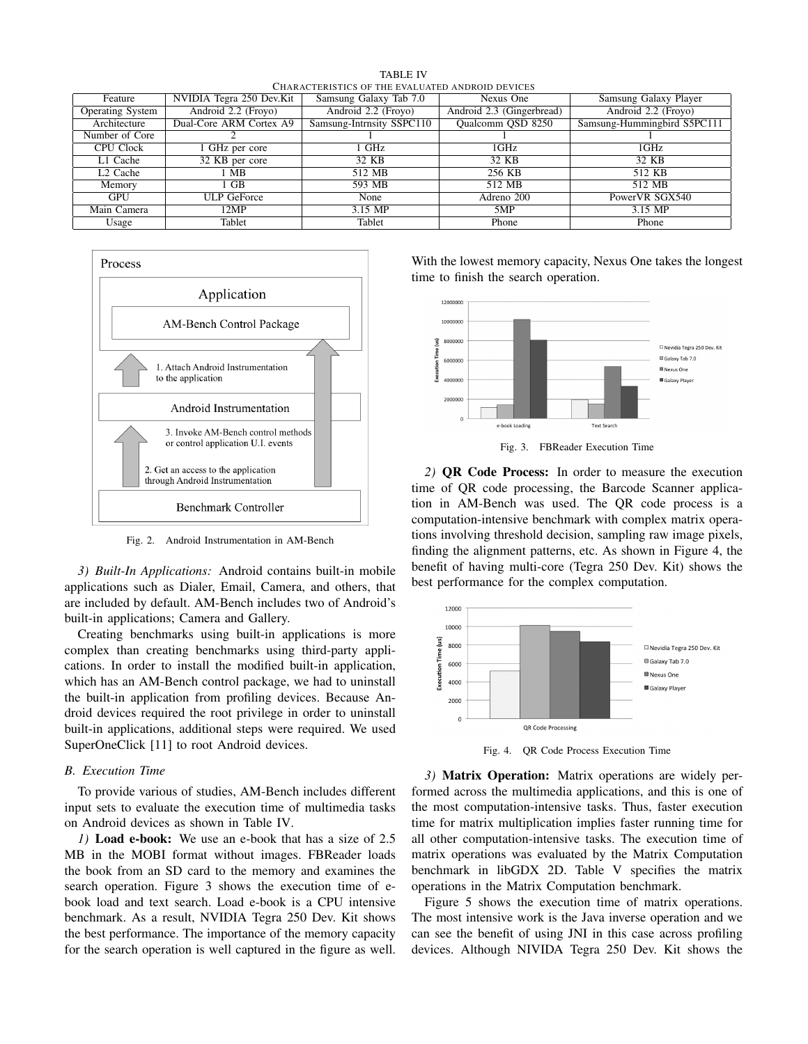TABLE IV CHARACTERISTICS OF THE EVALUATED ANDROID DEVICES

| Feature                 | NVIDIA Tegra 250 Dev.Kit | Samsung Galaxy Tab 7.0    | Nexus One                 | Samsung Galaxy Player       |
|-------------------------|--------------------------|---------------------------|---------------------------|-----------------------------|
| <b>Operating System</b> | Android 2.2 (Froyo)      | Android 2.2 (Froyo)       | Android 2.3 (Gingerbread) | Android 2.2 (Froyo)         |
| Architecture            | Dual-Core ARM Cortex A9  | Samsung-Intrnsity SSPC110 | Qualcomm QSD 8250         | Samsung-Hummingbird S5PC111 |
| Number of Core          |                          |                           |                           |                             |
| <b>CPU Clock</b>        | 1 GHz per core           | GHz                       | 1GHz                      | 1GHz                        |
| $\overline{L1}$ Cache   | 32 KB per core           | 32 KB                     | 32 KB                     | 32 KB                       |
| L <sub>2</sub> Cache    | 1 MB                     | 512 MB                    | 256 KB                    | 512 KB                      |
| Memory                  | $1$ GB                   | 593 MB                    | 512 MB                    | 512 MB                      |
| <b>GPU</b>              | <b>ULP GeForce</b>       | None                      | Adreno 200                | PowerVR SGX540              |
| Main Camera             | 12MP                     | 3.15 MP                   | 5MP                       | 3.15 MP                     |
| Usage                   | Tablet                   | Tablet                    | Phone                     | Phone                       |



Fig. 2. Android Instrumentation in AM-Bench

*3) Built-In Applications:* Android contains built-in mobile applications such as Dialer, Email, Camera, and others, that are included by default. AM-Bench includes two of Android's built-in applications; Camera and Gallery.

Creating benchmarks using built-in applications is more complex than creating benchmarks using third-party applications. In order to install the modified built-in application, which has an AM-Bench control package, we had to uninstall the built-in application from profiling devices. Because Android devices required the root privilege in order to uninstall built-in applications, additional steps were required. We used SuperOneClick [11] to root Android devices.

#### *B. Execution Time*

To provide various of studies, AM-Bench includes different input sets to evaluate the execution time of multimedia tasks on Android devices as shown in Table IV.

*1)* Load e-book: We use an e-book that has a size of 2.5 MB in the MOBI format without images. FBReader loads the book from an SD card to the memory and examines the search operation. Figure 3 shows the execution time of ebook load and text search. Load e-book is a CPU intensive benchmark. As a result, NVIDIA Tegra 250 Dev. Kit shows the best performance. The importance of the memory capacity for the search operation is well captured in the figure as well. With the lowest memory capacity, Nexus One takes the longest time to finish the search operation.



Fig. 3. FBReader Execution Time

*2)* QR Code Process: In order to measure the execution time of QR code processing, the Barcode Scanner application in AM-Bench was used. The QR code process is a computation-intensive benchmark with complex matrix operations involving threshold decision, sampling raw image pixels, finding the alignment patterns, etc. As shown in Figure 4, the benefit of having multi-core (Tegra 250 Dev. Kit) shows the best performance for the complex computation.



Fig. 4. QR Code Process Execution Time

*3)* Matrix Operation: Matrix operations are widely performed across the multimedia applications, and this is one of the most computation-intensive tasks. Thus, faster execution time for matrix multiplication implies faster running time for all other computation-intensive tasks. The execution time of matrix operations was evaluated by the Matrix Computation benchmark in libGDX 2D. Table V specifies the matrix operations in the Matrix Computation benchmark.

Figure 5 shows the execution time of matrix operations. The most intensive work is the Java inverse operation and we can see the benefit of using JNI in this case across profiling devices. Although NIVIDA Tegra 250 Dev. Kit shows the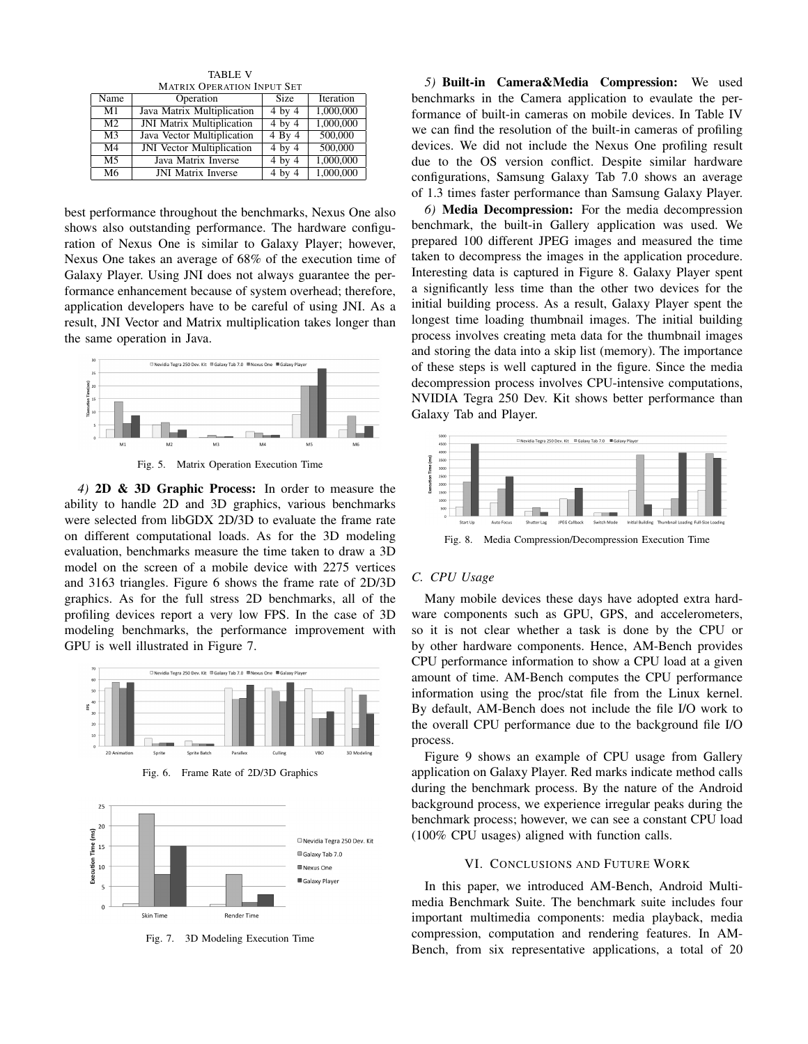TABLE V MATRIX OPERATION INPUT SET

| Name           | Operation                        | <b>Size</b> | Iteration |
|----------------|----------------------------------|-------------|-----------|
| M1             | Java Matrix Multiplication       | $4$ by $4$  | 1,000,000 |
| M <sub>2</sub> | <b>JNI Matrix Multiplication</b> | $4$ by $4$  | 1,000,000 |
| M <sub>3</sub> | Java Vector Multiplication       | $4$ By $4$  | 500,000   |
| M <sub>4</sub> | <b>JNI</b> Vector Multiplication | $4$ by $4$  | 500,000   |
| M <sub>5</sub> | Java Matrix Inverse              | $4$ by $4$  | 1,000,000 |
| M <sub>6</sub> | <b>JNI Matrix Inverse</b>        | $4$ by $4$  | 1,000,000 |

best performance throughout the benchmarks, Nexus One also shows also outstanding performance. The hardware configuration of Nexus One is similar to Galaxy Player; however, Nexus One takes an average of 68% of the execution time of Galaxy Player. Using JNI does not always guarantee the performance enhancement because of system overhead; therefore, application developers have to be careful of using JNI. As a result, JNI Vector and Matrix multiplication takes longer than the same operation in Java.



Fig. 5. Matrix Operation Execution Time

*4)* 2D & 3D Graphic Process: In order to measure the ability to handle 2D and 3D graphics, various benchmarks were selected from libGDX 2D/3D to evaluate the frame rate on different computational loads. As for the 3D modeling evaluation, benchmarks measure the time taken to draw a 3D model on the screen of a mobile device with 2275 vertices and 3163 triangles. Figure 6 shows the frame rate of 2D/3D graphics. As for the full stress 2D benchmarks, all of the profiling devices report a very low FPS. In the case of 3D modeling benchmarks, the performance improvement with GPU is well illustrated in Figure 7.



Fig. 6. Frame Rate of 2D/3D Graphics



Fig. 7. 3D Modeling Execution Time

*5)* Built-in Camera&Media Compression: We used benchmarks in the Camera application to evaulate the performance of built-in cameras on mobile devices. In Table IV we can find the resolution of the built-in cameras of profiling devices. We did not include the Nexus One profiling result due to the OS version conflict. Despite similar hardware configurations, Samsung Galaxy Tab 7.0 shows an average of 1.3 times faster performance than Samsung Galaxy Player.

*6)* Media Decompression: For the media decompression benchmark, the built-in Gallery application was used. We prepared 100 different JPEG images and measured the time taken to decompress the images in the application procedure. Interesting data is captured in Figure 8. Galaxy Player spent a significantly less time than the other two devices for the initial building process. As a result, Galaxy Player spent the longest time loading thumbnail images. The initial building process involves creating meta data for the thumbnail images and storing the data into a skip list (memory). The importance of these steps is well captured in the figure. Since the media decompression process involves CPU-intensive computations, NVIDIA Tegra 250 Dev. Kit shows better performance than Galaxy Tab and Player.



Fig. 8. Media Compression/Decompression Execution Time

#### *C. CPU Usage*

Many mobile devices these days have adopted extra hardware components such as GPU, GPS, and accelerometers, so it is not clear whether a task is done by the CPU or by other hardware components. Hence, AM-Bench provides CPU performance information to show a CPU load at a given amount of time. AM-Bench computes the CPU performance information using the proc/stat file from the Linux kernel. By default, AM-Bench does not include the file I/O work to the overall CPU performance due to the background file I/O process.

Figure 9 shows an example of CPU usage from Gallery application on Galaxy Player. Red marks indicate method calls during the benchmark process. By the nature of the Android background process, we experience irregular peaks during the benchmark process; however, we can see a constant CPU load (100% CPU usages) aligned with function calls.

## VI. CONCLUSIONS AND FUTURE WORK

In this paper, we introduced AM-Bench, Android Multimedia Benchmark Suite. The benchmark suite includes four important multimedia components: media playback, media compression, computation and rendering features. In AM-Bench, from six representative applications, a total of 20